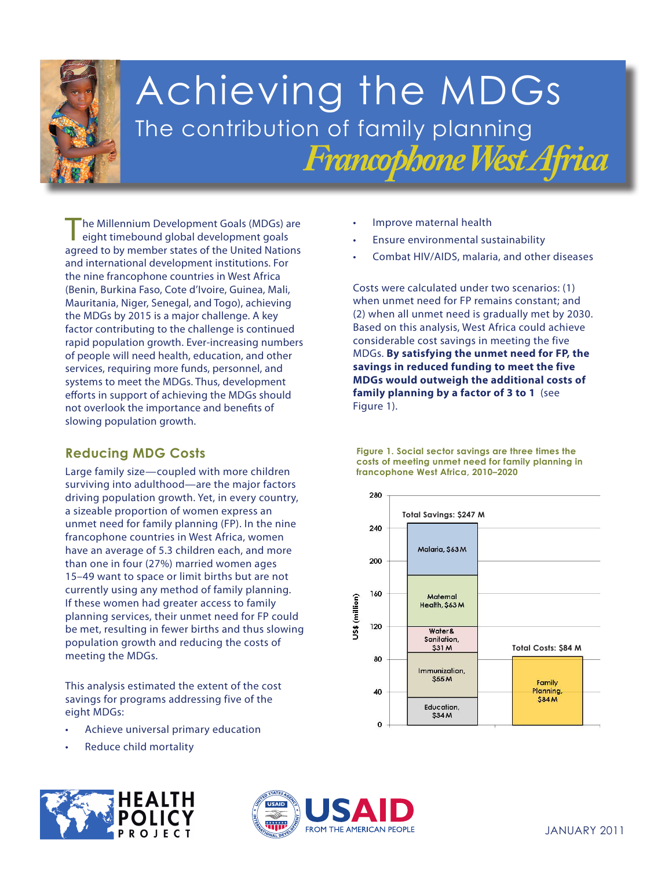

# Achieving the MDGs The contribution of family planning *Francophone West Africa*

The Millennium Development Goals (MDGs) are eight timebound global development goals agreed to by member states of the United Nations and international development institutions. For the nine francophone countries in West Africa (Benin, Burkina Faso, Cote d'Ivoire, Guinea, Mali, Mauritania, Niger, Senegal, and Togo), achieving the MDGs by 2015 is a major challenge. A key factor contributing to the challenge is continued rapid population growth. Ever-increasing numbers of people will need health, education, and other services, requiring more funds, personnel, and systems to meet the MDGs. Thus, development efforts in support of achieving the MDGs should not overlook the importance and benefits of slowing population growth.

### **Reducing MDG Costs**

**If these women had greater access to family planning services, their unmet need for FP could** be met, resulting in fewer births and thus slowing population growth and reducing the costs of **3.** *Properting the MDGs.* **equality andempower** Large family size—coupled with more children surviving into adulthood—are the major factors driving population growth. Yet, in every country, a sizeable proportion of women express an unmet need for family planning (FP). In the nine francophone countries in West Africa, women have an average of 5.3 children each, and more than one in four (27%) married women ages 15–49 want to space or limit births but are not currently using any method of family planning.

**This analysis estimated the extent of the cost** savings for programs addressing five of the **health** eight MDGs:

- **6.** Achieve **malaria, and other** • Achieve universal primary education
	- **diseases** • Reduce child mortality



- Improve maternal health
- Ensure environmental sustainability
- Combat HIV/AIDS, malaria, and other diseases

Costs were calculated under two scenarios: (1) when unmet need for FP remains constant; and (2) when all unmet need is gradually met by 2030. Based on this analysis, West Africa could achieve considerable cost savings in meeting the five MDGs. **By satisfying the unmet need for FP, the savings in reduced funding to meet the five MDGs would outweigh the additional costs of family planning by a factor of 3 to 1** (see Figure 1).

**Figure 1. Social sector savings are three times the costs of meeting unmet need for family planning in francophone West Africa, 2010–2020**